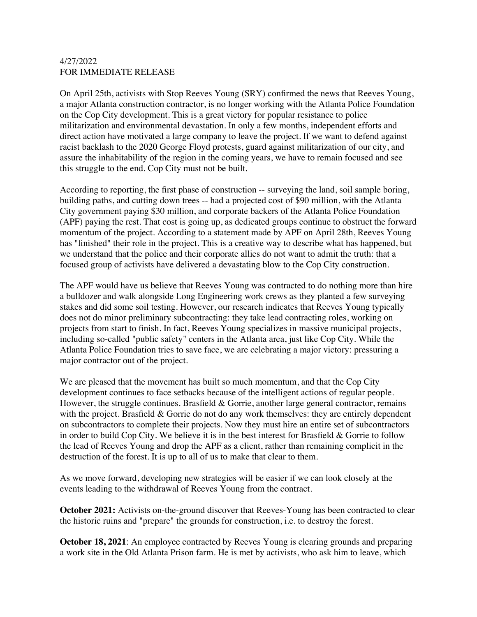## 4/27/2022 FOR IMMEDIATE RELEASE

On April 25th, activists with Stop Reeves Young (SRY) confirmed the news that Reeves Young, a major Atlanta construction contractor, is no longer working with the Atlanta Police Foundation on the Cop City development. This is a great victory for popular resistance to police militarization and environmental devastation. In only a few months, independent efforts and direct action have motivated a large company to leave the project. If we want to defend against racist backlash to the 2020 George Floyd protests, guard against militarization of our city, and assure the inhabitability of the region in the coming years, we have to remain focused and see this struggle to the end. Cop City must not be built.

According to reporting, the first phase of construction -- surveying the land, soil sample boring, building paths, and cutting down trees -- had a projected cost of \$90 million, with the Atlanta City government paying \$30 million, and corporate backers of the Atlanta Police Foundation (APF) paying the rest. That cost is going up, as dedicated groups continue to obstruct the forward momentum of the project. According to a statement made by APF on April 28th, Reeves Young has "finished" their role in the project. This is a creative way to describe what has happened, but we understand that the police and their corporate allies do not want to admit the truth: that a focused group of activists have delivered a devastating blow to the Cop City construction.

The APF would have us believe that Reeves Young was contracted to do nothing more than hire a bulldozer and walk alongside Long Engineering work crews as they planted a few surveying stakes and did some soil testing. However, our research indicates that Reeves Young typically does not do minor preliminary subcontracting: they take lead contracting roles, working on projects from start to finish. In fact, Reeves Young specializes in massive municipal projects, including so-called "public safety" centers in the Atlanta area, just like Cop City. While the Atlanta Police Foundation tries to save face, we are celebrating a major victory: pressuring a major contractor out of the project.

We are pleased that the movement has built so much momentum, and that the Cop City development continues to face setbacks because of the intelligent actions of regular people. However, the struggle continues. Brasfield  $&$  Gorrie, another large general contractor, remains with the project. Brasfield & Gorrie do not do any work themselves: they are entirely dependent on subcontractors to complete their projects. Now they must hire an entire set of subcontractors in order to build Cop City. We believe it is in the best interest for Brasfield  $\&$  Gorrie to follow the lead of Reeves Young and drop the APF as a client, rather than remaining complicit in the destruction of the forest. It is up to all of us to make that clear to them.

As we move forward, developing new strategies will be easier if we can look closely at the events leading to the withdrawal of Reeves Young from the contract.

**October 2021:** Activists on-the-ground discover that Reeves-Young has been contracted to clear the historic ruins and "prepare" the grounds for construction, i.e. to destroy the forest.

**October 18, 2021**: An employee contracted by Reeves Young is clearing grounds and preparing a work site in the Old Atlanta Prison farm. He is met by activists, who ask him to leave, which